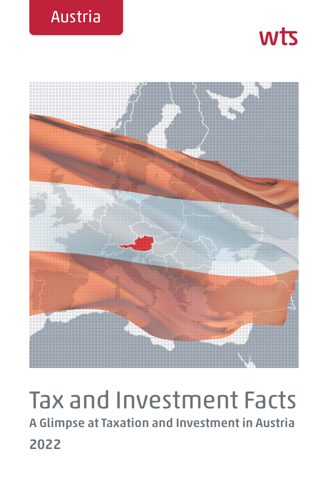





# Tax and Investment Facts **A Glimpse at Taxation and Investment in Austria 2022**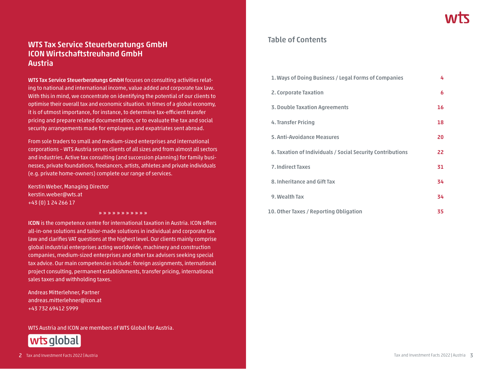# **WTS Tax Service Steuerberatungs GmbH ICON Wirtschaftstreuhand GmbH Austria**

**WTS Tax Service Steuerberatungs GmbH** focuses on consulting activities relating to national and international income, value added and corporate tax law. With this in mind, we concentrate on identifying the potential of our clients to optimise their overall tax and economic situation. In times of a global economy, it is of utmost importance, for instance, to determine tax-efficient transfer pricing and prepare related documentation, or to evaluate the tax and social security arrangements made for employees and expatriates sent abroad.

From sole traders to small and medium-sized enterprises and international corporations – WTS Austria serves clients of all sizes and from almost all sectors and industries. Active tax consulting (and succession planning) for family businesses, private foundations, freelancers, artists, athletes and private individuals (e.g. private home-owners) complete our range of services.

Kerstin Weber, Managing Director kerstin.weber@wts.at +43 (0) 1 24 266 17

**» » » » » » » » » » »**

**ICON** is the competence centre for international taxation in Austria. ICON offers all-in-one solutions and tailor-made solutions in individual and corporate tax law and clarifies VAT questions at the highest level. Our clients mainly comprise global industrial enterprises acting worldwide, machinery and construction companies, medium-sized enterprises and other tax advisers seeking special tax advice. Our main competencies include: foreign assignments, international project consulting, permanent establishments, transfer pricing, international sales taxes and withholding taxes.

Andreas Mitterlehner, Partner andreas.mitterlehner@icon.at +43 732 69412 5999

WTS Austria and ICON are members of WTS Global for Austria.



## **Table of Contents**

| 1. Ways of Doing Business / Legal Forms of Companies       | 4  |
|------------------------------------------------------------|----|
| 2. Corporate Taxation                                      | 6  |
| 3. Double Taxation Agreements                              | 16 |
| 4. Transfer Pricing                                        | 18 |
| <b>5. Anti-Avoidance Measures</b>                          | 20 |
| 6. Taxation of Individuals / Social Security Contributions | 22 |
| <b>7. Indirect Taxes</b>                                   | 31 |
| 8. Inheritance and Gift Tax                                | 34 |
| 9. Wealth Tax                                              | 34 |
| 10. Other Taxes / Reporting Obligation                     | 35 |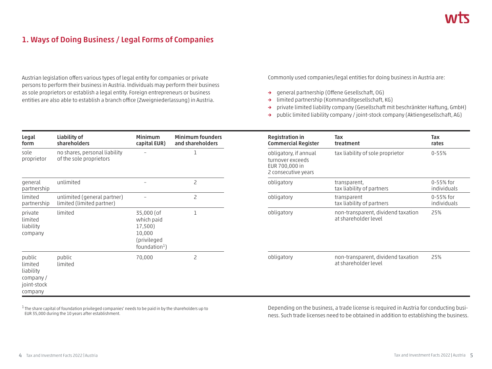# **1. Ways of Doing Business / Legal Forms of Companies**

Austrian legislation offers various types of legal entity for companies or private persons to perform their business in Austria. Individuals may perform their business as sole proprietors or establish a legal entity. Foreign entrepreneurs or business entities are also able to establish a branch office (Zweigniederlassung) in Austria.

Commonly used companies/legal entities for doing business in Austria are:

- **→** general partnership (Offene Gesellschaft, OG)
- **→** limited partnership (Kommanditgesellschaft, KG)
- **→** private limited liability company (Gesellschaft mit beschränkter Haftung, GmbH)
- **→** public limited liability company / joint-stock company (Aktiengesellschaft, AG)

| Legal<br>form                                                         | Liability of<br>shareholders                             | <b>Minimum</b><br>capital EUR)                                                   | <b>Minimum founders</b><br>and shareholders | <b>Registration in</b><br><b>Commercial Register</b>                               | Tax<br>treatment                                           | Tax<br>rates           |
|-----------------------------------------------------------------------|----------------------------------------------------------|----------------------------------------------------------------------------------|---------------------------------------------|------------------------------------------------------------------------------------|------------------------------------------------------------|------------------------|
| sole<br>proprietor                                                    | no shares, personal liability<br>of the sole proprietors |                                                                                  |                                             | obligatory, if annual<br>turnover exceeds<br>EUR 700,000 in<br>2 consecutive years | tax liability of sole proprietor                           | $0 - 55%$              |
| general<br>partnership                                                | unlimited                                                |                                                                                  | $\overline{c}$                              | obligatory                                                                         | transparent,<br>tax liability of partners                  | 0-55% for<br>individua |
| limited<br>partnership                                                | unlimited (general partner)<br>limited (limited partner) |                                                                                  | $\overline{c}$                              | obligatory                                                                         | transparent<br>tax liability of partners                   | 0-55% for<br>individua |
| private<br>limited<br>liability<br>company                            | limited                                                  | 35,000 (of<br>which paid<br>17,500)<br>10,000<br>(privileged<br>foundation $1$ ) |                                             | obligatory                                                                         | non-transparent, dividend taxation<br>at shareholder level | 25%                    |
| public<br>limited<br>liability<br>company /<br>joint-stock<br>company | public<br>limited                                        | 70,000                                                                           | 2                                           | obligatory                                                                         | non-transparent, dividend taxation<br>at shareholder level | 25%                    |

 $1$  The share capital of foundation privileged companies' needs to be paid in by the shareholders up to EUR 35,000 during the 10 years after establishment.

Depending on the business, a trade license is required in Austria for conducting business. Such trade licenses need to be obtained in addition to establishing the business.

individuals  $0-55%$  for individuals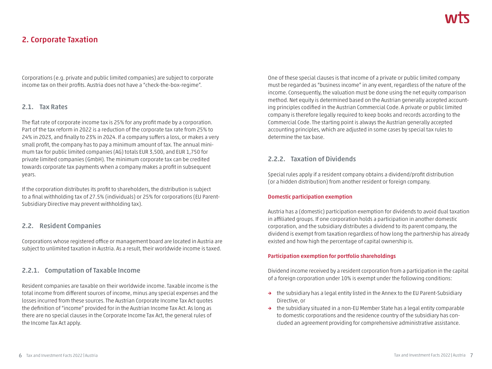# **2. Corporate Taxation**

Corporations (e.g. private and public limited companies) are subject to corporate income tax on their profits. Austria does not have a "check-the-box-regime".

#### **2.1. Tax Rates**

The flat rate of corporate income tax is 25% for any profit made by a corporation. Part of the tax reform in 2022 is a reduction of the corporate tax rate from 25% to 24% in 2023, and finally to 23% in 2024. If a company suffers a loss, or makes a very small profit, the company has to pay a minimum amount of tax. The annual minimum tax for public limited companies (AG) totals EUR 3,500, and EUR 1,750 for private limited companies (GmbH). The minimum corporate tax can be credited towards corporate tax payments when a company makes a profit in subsequent years.

If the corporation distributes its profit to shareholders, the distribution is subject to a final withholding tax of 27.5% (individuals) or 25% for corporations (EU Parent-Subsidiary Directive may prevent withholding tax).

## **2.2. Resident Companies**

Corporations whose registered office or management board are located in Austria are subject to unlimited taxation in Austria. As a result, their worldwide income is taxed.

#### **2.2.1. Computation of Taxable Income**

Resident companies are taxable on their worldwide income. Taxable income is the total income from different sources of income, minus any special expenses and the losses incurred from these sources. The Austrian Corporate Income Tax Act quotes the definition of "income" provided for in the Austrian Income Tax Act. As long as there are no special clauses in the Corporate Income Tax Act, the general rules of the Income Tax Act apply.

One of these special clauses is that income of a private or public limited company must be regarded as "business income" in any event, regardless of the nature of the income. Consequently, the valuation must be done using the net equity comparison method. Net equity is determined based on the Austrian generally accepted accounting principles codified in the Austrian Commercial Code. A private or public limited company is therefore legally required to keep books and records according to the Commercial Code. The starting point is always the Austrian generally accepted accounting principles, which are adjusted in some cases by special tax rules to determine the tax base.

## **2.2.2. Taxation of Dividends**

Special rules apply if a resident company obtains a dividend/profit distribution (or a hidden distribution) from another resident or foreign company.

#### **Domestic participation exemption**

Austria has a (domestic) participation exemption for dividends to avoid dual taxation in affiliated groups. If one corporation holds a participation in another domestic corporation, and the subsidiary distributes a dividend to its parent company, the dividend is exempt from taxation regardless of how long the partnership has already existed and how high the percentage of capital ownership is.

#### **Participation exemption for portfolio shareholdings**

Dividend income received by a resident corporation from a participation in the capital of a foreign corporation under 10% is exempt under the following conditions:

- **→** the subsidiary has a legal entity listed in the Annex to the EU Parent-Subsidiary Directive, or
- **→** the subsidiary situated in a non-EU Member State has a legal entity comparable to domestic corporations and the residence country of the subsidiary has concluded an agreement providing for comprehensive administrative assistance.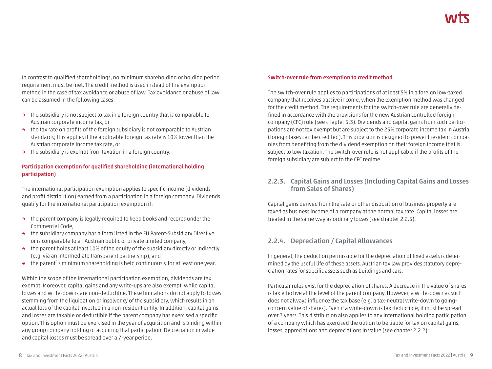In contrast to qualified shareholdings, no minimum shareholding or holding period requirement must be met. The credit method is used instead of the exemption method in the case of tax avoidance or abuse of law. Tax avoidance or abuse of law can be assumed in the following cases:

- **→** the subsidiary is not subject to tax in a foreign country that is comparable to Austrian corporate income tax, or
- **→** the tax rate on profits of the foreign subsidiary is not comparable to Austrian standards; this applies if the applicable foreign tax rate is 10% lower than the Austrian corporate income tax rate, or
- **→** the subsidiary is exempt from taxation in a foreign country.

#### **Participation exemption for qualified shareholding (international holding participation)**

The international participation exemption applies to specific income (dividends and profit distribution) earned from a participation in a foreign company. Dividends qualify for the international participation exemption if:

- **→** the parent company is legally required to keep books and records under the Commercial Code,
- **→** the subsidiary company has a form listed in the EU Parent-Subsidiary Directive or is comparable to an Austrian public or private limited company,
- **→** the parent holds at least 10% of the equity of the subsidiary directly or indirectly (e.g. via an intermediate transparent partnership), and
- **→** the parent`s minimum shareholding is held continuously for at least one year.

Within the scope of the international participation exemption, dividends are tax exempt. Moreover, capital gains and any write-ups are also exempt, while capital losses and write-downs are non-deductible. These limitations do not apply to losses stemming from the liquidation or insolvency of the subsidiary, which results in an actual loss of the capital invested in a non-resident entity. In addition, capital gains and losses are taxable or deductible if the parent company has exercised a specific option. This option must be exercised in the year of acquisition and is binding within any group company holding or acquiring that participation. Depreciation in value and capital losses must be spread over a 7-year period.

#### **Switch-over rule from exemption to credit method**

The switch-over rule applies to participations of at least 5% in a foreign low-taxed company that receives passive income, when the exemption method was changed for the credit method. The requirements for the switch-over rule are generally defined in accordance with the provisions for the new Austrian controlled foreign company (CFC) rule (see chapter 5.3). Dividends and capital gains from such participations are not tax exempt but are subject to the 25% corporate income tax in Austria (foreign taxes can be credited). This provision is designed to prevent resident companies from benefiting from the dividend exemption on their foreign income that is subject to low taxation. The switch-over rule is not applicable if the profits of the foreign subsidiary are subject to the CFC regime.

#### **2.2.3. Capital Gains and Losses (Including Capital Gains and Losses from Sales of Shares)**

Capital gains derived from the sale or other disposition of business property are taxed as business income of a company at the normal tax rate. Capital losses are treated in the same way as ordinary losses (see chapter 2.2.5).

## **2.2.4. Depreciation / Capital Allowances**

In general, the deduction permissible for the depreciation of fixed assets is determined by the useful life of these assets. Austrian tax law provides statutory depreciation rates for specific assets such as buildings and cars.

Particular rules exist for the depreciation of shares. A decrease in the value of shares is tax effective at the level of the parent company. However, a write-down as such does not always influence the tax base (e.g. a tax-neutral write-down to goingconcern value of shares). Even if a write-down is tax deductible, it must be spread over 7 years. This distribution also applies to any international holding participation of a company which has exercised the option to be liable for tax on capital gains, losses, appreciations and depreciations in value (see chapter 2.2.2).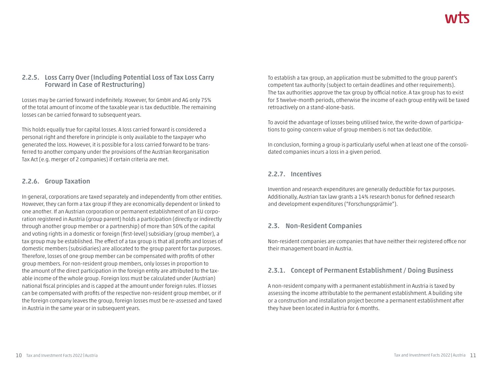## **2.2.5. Loss Carry Over (Including Potential Loss of Tax Loss Carry Forward in Case of Restructuring)**

Losses may be carried forward indefinitely. However, for GmbH and AG only 75% of the total amount of income of the taxable year is tax deductible. The remaining losses can be carried forward to subsequent years.

This holds equally true for capital losses. A loss carried forward is considered a personal right and therefore in principle is only available to the taxpayer who generated the loss. However, it is possible for a loss carried forward to be transferred to another company under the provisions of the Austrian Reorganisation Tax Act (e.g. merger of 2 companies) if certain criteria are met.

#### **2.2.6. Group Taxation**

In general, corporations are taxed separately and independently from other entities. However, they can form a tax group if they are economically dependent or linked to one another. If an Austrian corporation or permanent establishment of an EU corporation registered in Austria (group parent) holds a participation (directly or indirectly through another group member or a partnership) of more than 50% of the capital and voting rights in a domestic or foreign (first-level) subsidiary (group member), a tax group may be established. The effect of a tax group is that all profits and losses of domestic members (subsidiaries) are allocated to the group parent for tax purposes. Therefore, losses of one group member can be compensated with profits of other group members. For non-resident group members, only losses in proportion to the amount of the direct participation in the foreign entity are attributed to the taxable income of the whole group. Foreign loss must be calculated under (Austrian) national fiscal principles and is capped at the amount under foreign rules. If losses can be compensated with profits of the respective non-resident group member, or if the foreign company leaves the group, foreign losses must be re-assessed and taxed in Austria in the same year or in subsequent years.

To establish a tax group, an application must be submitted to the group parent's competent tax authority (subject to certain deadlines and other requirements). The tax authorities approve the tax group by official notice. A tax group has to exist for 3 twelve-month periods, otherwise the income of each group entity will be taxed retroactively on a stand-alone-basis.

To avoid the advantage of losses being utilised twice, the write-down of participations to going-concern value of group members is not tax deductible.

In conclusion, forming a group is particularly useful when at least one of the consolidated companies incurs a loss in a given period.

## **2.2.7. Incentives**

Invention and research expenditures are generally deductible for tax purposes. Additionally, Austrian tax law grants a 14% research bonus for defined research and development expenditures ("Forschungsprämie").

## **2.3. Non-Resident Companies**

Non-resident companies are companies that have neither their registered office nor their management board in Austria.

## **2.3.1. Concept of Permanent Establishment / Doing Business**

A non-resident company with a permanent establishment in Austria is taxed by assessing the income attributable to the permanent establishment. A building site or a construction and installation project become a permanent establishment after they have been located in Austria for 6 months.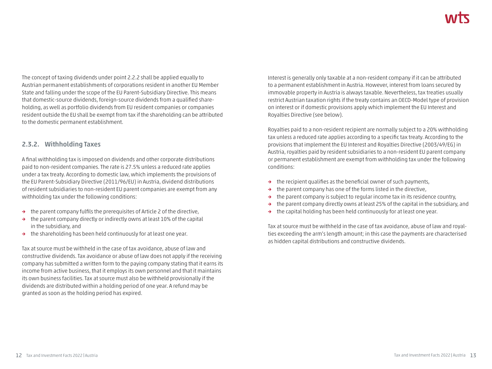The concept of taxing dividends under point 2.2.2 shall be applied equally to Austrian permanent establishments of corporations resident in another EU Member State and falling under the scope of the EU Parent-Subsidiary Directive. This means that domestic-source dividends, foreign-source dividends from a qualified shareholding, as well as portfolio dividends from EU resident companies or companies resident outside the EU shall be exempt from tax if the shareholding can be attributed to the domestic permanent establishment.

#### **2.3.2. Withholding Taxes**

A final withholding tax is imposed on dividends and other corporate distributions paid to non-resident companies. The rate is 27.5% unless a reduced rate applies under a tax treaty. According to domestic law, which implements the provisions of the EU Parent-Subsidiary Directive (2011/96/EU) in Austria, dividend distributions of resident subsidiaries to non-resident EU parent companies are exempt from any withholding tax under the following conditions:

- **→** the parent company fulfils the prerequisites of Article 2 of the directive,
- **→** the parent company directly or indirectly owns at least 10% of the capital in the subsidiary, and
- **→** the shareholding has been held continuously for at least one year.

Tax at source must be withheld in the case of tax avoidance, abuse of law and constructive dividends. Tax avoidance or abuse of law does not apply if the receiving company has submitted a written form to the paying company stating that it earns its income from active business, that it employs its own personnel and that it maintains its own business facilities. Tax at source must also be withheld provisionally if the dividends are distributed within a holding period of one year. A refund may be granted as soon as the holding period has expired.

Interest is generally only taxable at a non-resident company if it can be attributed to a permanent establishment in Austria. However, interest from loans secured by immovable property in Austria is always taxable. Nevertheless, tax treaties usually restrict Austrian taxation rights if the treaty contains an OECD-Model type of provision on interest or if domestic provisions apply which implement the EU Interest and Royalties Directive (see below).

Royalties paid to a non-resident recipient are normally subject to a 20% withholding tax unless a reduced rate applies according to a specific tax treaty. According to the provisions that implement the EU Interest and Royalties Directive (2003/49/EG) in Austria, royalties paid by resident subsidiaries to a non-resident EU parent company or permanent establishment are exempt from withholding tax under the following conditions:

- **→** the recipient qualifies as the beneficial owner of such payments,
- **→** the parent company has one of the forms listed in the directive,
- **→** the parent company is subject to regular income tax in its residence country,
- **→** the parent company directly owns at least 25% of the capital in the subsidiary, and
- **→** the capital holding has been held continuously for at least one year.

Tax at source must be withheld in the case of tax avoidance, abuse of law and royalties exceeding the arm's length amount; in this case the payments are characterised as hidden capital distributions and constructive dividends.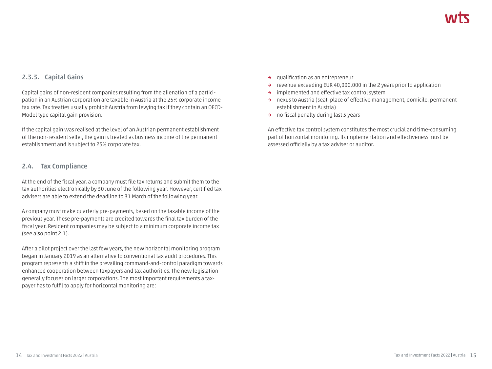## **2.3.3. Capital Gains**

Capital gains of non-resident companies resulting from the alienation of a participation in an Austrian corporation are taxable in Austria at the 25% corporate income tax rate. Tax treaties usually prohibit Austria from levying tax if they contain an OECD-Model type capital gain provision.

If the capital gain was realised at the level of an Austrian permanent establishment of the non-resident seller, the gain is treated as business income of the permanent establishment and is subject to 25% corporate tax.

#### **2.4. Tax Compliance**

At the end of the fiscal year, a company must file tax returns and submit them to the tax authorities electronically by 30 June of the following year. However, certified tax advisers are able to extend the deadline to 31 March of the following year.

A company must make quarterly pre-payments, based on the taxable income of the previous year. These pre-payments are credited towards the final tax burden of the fiscal year. Resident companies may be subject to a minimum corporate income tax (see also point 2.1).

After a pilot project over the last few years, the new horizontal monitoring program began in January 2019 as an alternative to conventional tax audit procedures. This program represents a shift in the prevailing command-and-control paradigm towards enhanced cooperation between taxpayers and tax authorities. The new legislation generally focuses on larger corporations. The most important requirements a taxpayer has to fulfil to apply for horizontal monitoring are:

- **→** qualification as an entrepreneur
- **→** revenue exceeding EUR 40,000,000 in the 2 years prior to application
- **→** implemented and effective tax control system
- **→** nexus to Austria (seat, place of effective management, domicile, permanent establishment in Austria)
- **→** no fiscal penalty during last 5 years

An effective tax control system constitutes the most crucial and time-consuming part of horizontal monitoring. Its implementation and effectiveness must be assessed officially by a tax adviser or auditor.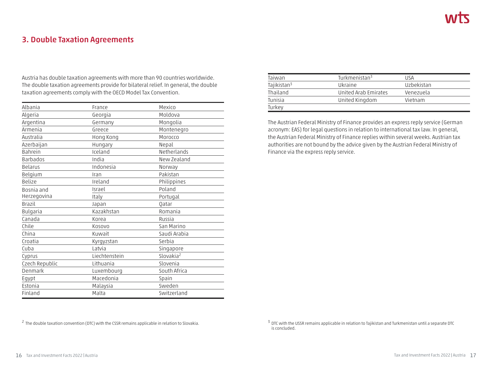# **3. Double Taxation Agreements**

Austria has double taxation agreements with more than 90 countries worldwide. The double taxation agreements provide for bilateral relief. In general, the double taxation agreements comply with the OECD Model Tax Convention.

| Albania        | France        | Mexico                |
|----------------|---------------|-----------------------|
| Algeria        | Georgia       | Moldova               |
| Argentina      | Germany       | Mongolia              |
| Armenia        | Greece        | Montenegro            |
| Australia      | Hong Kong     | Morocco               |
| Azerbaijan     | Hungary       | Nepal                 |
| <b>Bahrein</b> | Iceland       | Netherlands           |
| Barbados       | India         | New Zealand           |
| <b>Belarus</b> | Indonesia     | Norway                |
| Belgium        | Iran          | Pakistan              |
| <b>Belize</b>  | Ireland       | Philippines           |
| Bosnia and     | Israel        | Poland                |
| Herzegovina    | Italy         | Portugal              |
| <b>Brazil</b>  | Japan         | <b>Oatar</b>          |
| Bulgaria       | Kazakhstan    | Romania               |
| Canada         | Korea         | Russia                |
| Chile          | Kosovo        | San Marino            |
| China          | Kuwait        | Saudi Arabia          |
| Croatia        | Kyrgyzstan    | Serbia                |
| Cuba           | Latvia        | Singapore             |
| Cyprus         | Liechtenstein | Slovakia <sup>2</sup> |
| Czech Republic | Lithuania     | Slovenia              |
| Denmark        | Luxembourg    | South Africa          |
| Egypt          | Macedonia     | Spain                 |
| Estonia        | Malaysia      | Sweden                |
| Finland        | Malta         | Switzerland           |

| Taiwan                  | Turkmenistan <sup>3</sup> | <b>LISA</b>       |
|-------------------------|---------------------------|-------------------|
| Tajikistan <sup>3</sup> | Ukraine                   | <b>Uzbekistan</b> |
| Thailand                | United Arab Emirates      | Venezuela         |
| Tunisia                 | United Kingdom            | Vietnam           |
| Turkey                  |                           |                   |

The Austrian Federal Ministry of Finance provides an express reply service (German acronym: EAS) for legal questions in relation to international tax law. In general, the Austrian Federal Ministry of Finance replies within several weeks. Austrian tax authorities are not bound by the advice given by the Austrian Federal Ministry of Finance via the express reply service.

<sup>2</sup> The double taxation convention (DTC) with the CSSR remains applicable in relation to Slovakia.

<sup>&</sup>lt;sup>3</sup> DTC with the USSR remains applicable in relation to Tajikistan and Turkmenistan until a separate DTC is concluded.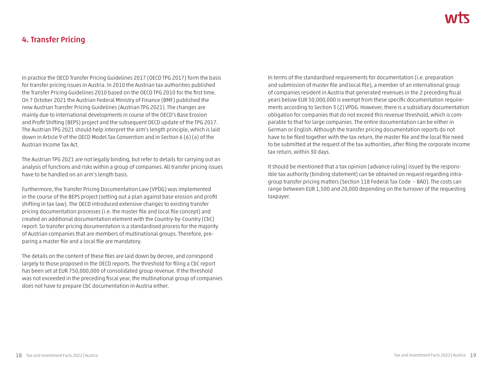# **4. Transfer Pricing**

In practice the OECD Transfer Pricing Guidelines 2017 (OECD TPG 2017) form the basis for transfer pricing issues in Austria. In 2010 the Austrian tax authorities published the Transfer Pricing Guidelines 2010 based on the OECD TPG 2010 for the first time. On 7 October 2021 the Austrian Federal Ministry of Finance (BMF) published the new Austrian Transfer Pricing Guidelines (Austrian TPG 2021). The changes are mainly due to international developments in course of the OECD's Base Erosion and Profit Shifting (BEPS) project and the subsequent OECD update of the TPG 2017. The Austrian TPG 2021 should help interpret the arm's length principle, which is laid down in Article 9 of the OECD Model Tax Convention and in Section 6 (6) (a) of the Austrian Income Tax Act.

The Austrian TPG 2021 are not legally binding, but refer to details for carrying out an analysis of functions and risks within a group of companies. All transfer pricing issues have to be handled on an arm's length basis.

Furthermore, the Transfer Pricing Documentation Law (VPDG) was implemented in the course of the BEPS project (setting out a plan against base erosion and profit shifting in tax law). The OECD introduced extensive changes to existing transfer pricing documentation processes (i.e. the master file and local file concept) and created an additional documentation element with the Country-by-Country (CbC) report. So transfer pricing documentation is a standardised process for the majority of Austrian companies that are members of multinational groups. Therefore, preparing a master file and a local file are mandatory.

The details on the content of these files are laid down by decree, and correspond largely to those proposed in the OECD reports. The threshold for filing a CbC report has been set at EUR 750,000,000 of consolidated group revenue. If the threshold was not exceeded in the preceding fiscal year, the multinational group of companies does not have to prepare CbC documentation in Austria either.

In terms of the standardised requirements for documentation (i.e. preparation and submission of master file and local file), a member of an international group of companies resident in Austria that generated revenues in the 2 preceding fiscal years below EUR 50,000,000 is exempt from these specific documentation requirements according to Section 3 (2) VPDG. However, there is a subsidiary documentation obligation for companies that do not exceed this revenue threshold, which is comparable to that for large companies. The entire documentation can be either in German or English. Although the transfer pricing documentation reports do not have to be filed together with the tax return, the master file and the local file need to be submitted at the request of the tax authorities, after filing the corporate income tax return, within 30 days.

It should be mentioned that a tax opinion (advance ruling) issued by the responsible tax authority (binding statement) can be obtained on request regarding intragroup transfer pricing matters (Section 118 Federal Tax Code – BAO). The costs can range between EUR 1,500 and 20,000 depending on the turnover of the requesting taxpayer.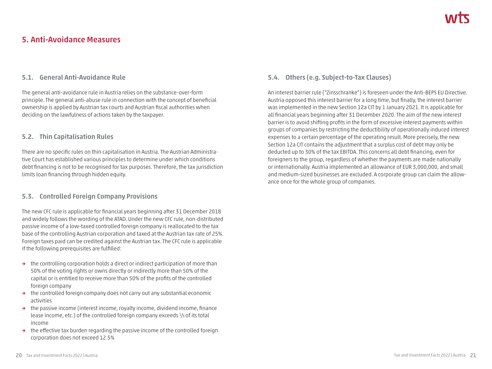# **5. Anti-Avoidance Measures**

#### **5.1. General Anti-Avoidance Rule**

The general anti-avoidance rule in Austria relies on the substance-over-form principle. The general anti-abuse rule in connection with the concept of beneficial ownership is applied by Austrian tax courts and Austrian fiscal authorities when deciding on the lawfulness of actions taken by the taxpayer.

#### **5.2. Thin Capitalisation Rules**

There are no specific rules on thin capitalisation in Austria. The Austrian Administrative Court has established various principles to determine under which conditions debt financing is not to be recognised for tax purposes. Therefore, the tax jurisdiction limits loan financing through hidden equity.

## **5.3. Controlled Foreign Company Provisions**

The new CFC rule is applicable for financial years beginning after 31 December 2018 and widely follows the wording of the ATAD. Under the new CFC rule, non-distributed passive income of a low-taxed controlled foreign company is reallocated to the tax base of the controlling Austrian corporation and taxed at the Austrian tax rate of 25%. Foreign taxes paid can be credited against the Austrian tax. The CFC rule is applicable if the following prerequisites are fulfilled:

- **→** the controlling corporation holds a direct or indirect participation of more than 50% of the voting rights or owns directly or indirectly more than 50% of the capital or is entitled to receive more than 50% of the profits of the controlled foreign company
- **→** the controlled foreign company does not carry out any substantial economic activities
- **→** the passive income (interest income, royalty income, dividend income, finance lease income, etc.) of the controlled foreign company exceeds <sup>1</sup>/3 of its total income
- **→** the effective tax burden regarding the passive income of the controlled foreign corporation does not exceed 12.5%

# **5.4. Others (e.g. Subject-to-Tax Clauses)**

An interest barrier rule ("Zinsschranke") is foreseen under the Anti-BEPS EU Directive. Austria opposed this interest barrier for a long time, but finally, the interest barrier was implemented in the new Section 12a CIT by 1 January 2021. It is applicable for all financial years beginning after 31 December 2020. The aim of the new interest barrier is to avoid shifting profits in the form of excessive interest payments within groups of companies by restricting the deductibility of operationally induced interest expenses to a certain percentage of the operating result. More precisely, the new Section 12a CIT contains the adjustment that a surplus cost of debt may only be deducted up to 30% of the tax EBITDA. This concerns all debt financing, even for foreigners to the group, regardless of whether the payments are made nationally or internationally. Austria implemented an allowance of EUR 3,000,000, and small and medium-sized businesses are excluded. A corporate group can claim the allowance once for the whole group of companies.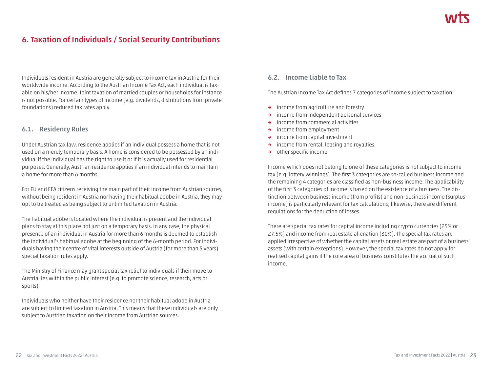# **6. Taxation of Individuals / Social Security Contributions**

Individuals resident in Austria are generally subject to income tax in Austria for their worldwide income. According to the Austrian Income Tax Act, each individual is taxable on his/her income. Joint taxation of married couples or households for instance is not possible. For certain types of income (e.g. dividends, distributions from private foundations) reduced tax rates apply.

#### **6.1. Residency Rules**

Under Austrian tax law, residence applies if an individual possess a home that is not used on a merely temporary basis. A home is considered to be possessed by an individual if the individual has the right to use it or if it is actually used for residential purposes. Generally, Austrian residence applies if an individual intends to maintain a home for more than 6 months.

For EU and EEA citizens receiving the main part of their income from Austrian sources, without being resident in Austria nor having their habitual adobe in Austria, they may opt to be treated as being subject to unlimited taxation in Austria.

The habitual adobe is located where the individual is present and the individual plans to stay at this place not just on a temporary basis. In any case, the physical presence of an individual in Austria for more than 6 months is deemed to establish the individual's habitual adobe at the beginning of the 6-month period. For individuals having their centre of vital interests outside of Austria (for more than 5 years) special taxation rules apply.

The Ministry of Finance may grant special tax relief to individuals if their move to Austria lies within the public interest (e.g. to promote science, research, arts or sports).

Individuals who neither have their residence nor their habitual adobe in Austria are subject to limited taxation in Austria. This means that these individuals are only subject to Austrian taxation on their income from Austrian sources.

#### **6.2. Income Liable to Tax**

The Austrian Income Tax Act defines 7 categories of income subject to taxation:

- **→** income from agriculture and forestry
- **→** income from independent personal services
- **→** income from commercial activities
- **→** income from employment
- **→** income from capital investment
- **→** income from rental, leasing and royalties
- **→** other specific income

Income which does not belong to one of these categories is not subject to income tax (e.g. lottery winnings). The first 3 categories are so-called business income and the remaining 4 categories are classified as non-business income. The applicability of the first 3 categories of income is based on the existence of a business. The distinction between business income (from profits) and non-business income (surplus income) is particularly relevant for tax calculations; likewise, there are different regulations for the deduction of losses.

There are special tax rates for capital income including crypto currencies (25% or 27.5%) and income from real estate alienation (30%). The special tax rates are applied irrespective of whether the capital assets or real estate are part of a business' assets (with certain exceptions). However, the special tax rates do not apply for realised capital gains if the core area of business constitutes the accrual of such income.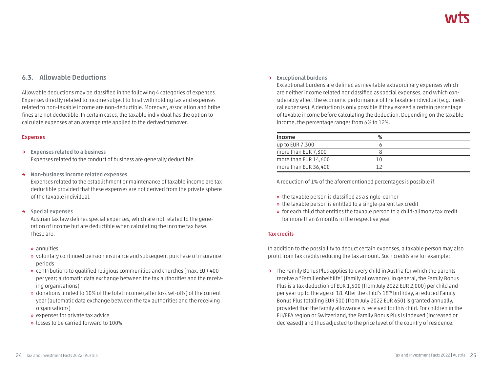## **6.3. Allowable Deductions**

Allowable deductions may be classified in the following 4 categories of expenses. Expenses directly related to income subject to final withholding tax and expenses related to non-taxable income are non-deductible. Moreover, association and bribe fines are not deductible. In certain cases, the taxable individual has the option to calculate expenses at an average rate applied to the derived turnover.

#### **Expenses**

- **→ Expenses related to a business** Expenses related to the conduct of business are generally deductible.
- **→ Non-business income related expenses**

Expenses related to the establishment or maintenance of taxable income are tax deductible provided that these expenses are not derived from the private sphere of the taxable individual.

**→ Special expenses**

Austrian tax law defines special expenses, which are not related to the generation of income but are deductible when calculating the income tax base. These are:

- **»** annuities
- **»** voluntary continued pension insurance and subsequent purchase of insurance periods
- **»** contributions to qualified religious communities and churches (max. EUR 400 per year; automatic data exchange between the tax authorities and the receiving organisations)
- **»** donations limited to 10% of the total income (after loss set-offs) of the current year (automatic data exchange between the tax authorities and the receiving organisations)
- **»** expenses for private tax advice
- **»** losses to be carried forward to 100%

#### **→ Exceptional burdens**

Exceptional burdens are defined as inevitable extraordinary expenses which are neither income related nor classified as special expenses, and which considerably affect the economic performance of the taxable individual (e.g. medical expenses). A deduction is only possible if they exceed a certain percentage of taxable income before calculating the deduction. Depending on the taxable income, the percentage ranges from 6% to 12%.

| Income               | %   |  |
|----------------------|-----|--|
| up to EUR 7,300      |     |  |
| more than EUR 7,300  |     |  |
| more than EUR 14,600 | ח ו |  |
| more than EUR 36,400 |     |  |

A reduction of 1% of the aforementioned percentages is possible if:

- **»** the taxable person is classified as a single-earner
- **»** the taxable person is entitled to a single-parent tax credit
- **»** for each child that entitles the taxable person to a child-alimony tax credit for more than 6 months in the respective year

#### **Tax credits**

In addition to the possibility to deduct certain expenses, a taxable person may also profit from tax credits reducing the tax amount. Such credits are for example:

**→** The Family Bonus Plus applies to every child in Austria for which the parents receive a "Familienbeihilfe" (family allowance). In general, the Family Bonus Plus is a tax deduction of EUR 1,500 (from July 2022 EUR 2,000) per child and per year up to the age of 18. After the child's 18th birthday, a reduced Family Bonus Plus totalling EUR 500 (from July 2022 EUR 650) is granted annually, provided that the family allowance is received for this child. For children in the EU/EEA region or Switzerland, the Family Bonus Plus is indexed (increased or decreased) and thus adjusted to the price level of the country of residence.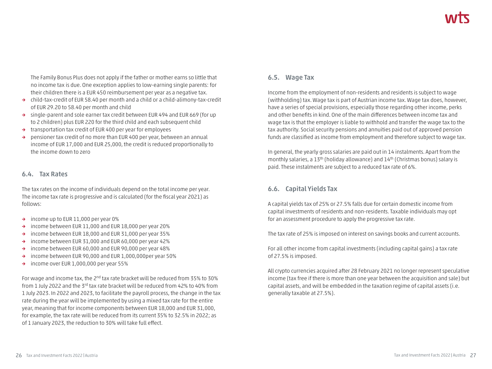The Family Bonus Plus does not apply if the father or mother earns so little that no income tax is due. One exception applies to low-earning single parents: for their children there is a EUR 450 reimbursement per year as a negative tax.

- **→** child-tax-credit of EUR 58.40 per month and a child or a child-alimony-tax-credit of EUR 29.20 to 58.40 per month and child
- **→** single-parent and sole earner tax credit between EUR 494 and EUR 669 (for up to 2 children) plus EUR 220 for the third child and each subsequent child
- **→** transportation tax credit of EUR 400 per year for employees
- **→** pensioner tax credit of no more than EUR 400 per year, between an annual income of EUR 17,000 and EUR 25,000, the credit is reduced proportionally to the income down to zero

#### **6.4. Tax Rates**

The tax rates on the income of individuals depend on the total income per year. The income tax rate is progressive and is calculated (for the fiscal year 2021) as follows:

- **→** income up to EUR 11,000 per year 0%
- **→** income between EUR 11,000 and EUR 18,000 per year 20%
- **→** income between EUR 18,000 and EUR 31,000 per year 35%
- **→** income between EUR 31,000 and EUR 60,000 per year 42%
- **→** income between EUR 60,000 and EUR 90,000 per year 48%
- **→** income between EUR 90,000 and EUR 1,000,000per year 50%
- **→** income over EUR 1,000,000 per year 55%

For wage and income tax, the 2<sup>nd</sup> tax rate bracket will be reduced from 35% to 30% from 1 July 2022 and the 3rd tax rate bracket will be reduced from 42% to 40% from 1 July 2023. In 2022 and 2023, to facilitate the payroll process, the change in the tax rate during the year will be implemented by using a mixed tax rate for the entire year, meaning that for income components between EUR 18,000 and EUR 31,000, for example, the tax rate will be reduced from its current 35% to 32.5% in 2022; as of 1 January 2023, the reduction to 30% will take full effect.

## **6.5. Wage Tax**

Income from the employment of non-residents and residents is subject to wage (withholding) tax. Wage tax is part of Austrian income tax. Wage tax does, however, have a series of special provisions, especially those regarding other income, perks and other benefits in kind. One of the main differences between income tax and wage tax is that the employer is liable to withhold and transfer the wage tax to the tax authority. Social security pensions and annuities paid out of approved pension funds are classified as income from employment and therefore subject to wage tax.

In general, the yearly gross salaries are paid out in 14 instalments. Apart from the monthly salaries, a 13th (holiday allowance) and 14th (Christmas bonus) salary is paid. These instalments are subject to a reduced tax rate of 6%.

## **6.6. Capital Yields Tax**

A capital yields tax of 25% or 27.5% falls due for certain domestic income from capital investments of residents and non-residents. Taxable individuals may opt for an assessment procedure to apply the progressive tax rate.

The tax rate of 25% is imposed on interest on savings books and current accounts.

For all other income from capital investments (including capital gains) a tax rate of 27.5% is imposed.

All crypto currencies acquired after 28 February 2021 no longer represent speculative income (tax free if there is more than one year between the acquisition and sale) but capital assets, and will be embedded in the taxation regime of capital assets (i.e. generally taxable at 27.5%).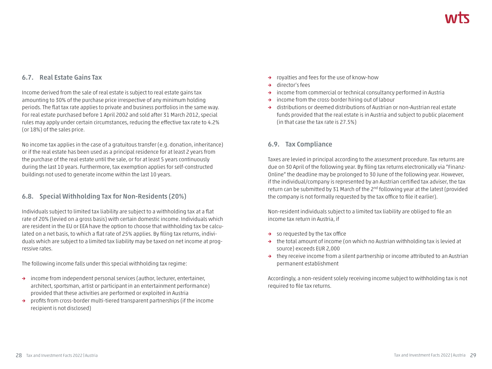## **6.7. Real Estate Gains Tax**

Income derived from the sale of real estate is subject to real estate gains tax amounting to 30% of the purchase price irrespective of any minimum holding periods. The flat tax rate applies to private and business portfolios in the same way. For real estate purchased before 1 April 2002 and sold after 31 March 2012, special rules may apply under certain circumstances, reducing the effective tax rate to 4.2% (or 18%) of the sales price.

No income tax applies in the case of a gratuitous transfer (e.g. donation, inheritance) or if the real estate has been used as a principal residence for at least 2 years from the purchase of the real estate until the sale, or for at least 5 years continuously during the last 10 years. Furthermore, tax exemption applies for self-constructed buildings not used to generate income within the last 10 years.

## **6.8. Special Withholding Tax for Non-Residents (20%)**

Individuals subject to limited tax liability are subject to a withholding tax at a flat rate of 20% (levied on a gross basis) with certain domestic income. Individuals which are resident in the EU or EEA have the option to choose that withholding tax be calculated on a net basis, to which a flat rate of 25% applies. By filing tax returns, individuals which are subject to a limited tax liability may be taxed on net income at progressive rates.

The following income falls under this special withholding tax regime:

- **→** income from independent personal services (author, lecturer, entertainer, architect, sportsman, artist or participant in an entertainment performance) provided that these activities are performed or exploited in Austria
- **→** profits from cross-border multi-tiered transparent partnerships (if the income recipient is not disclosed)
- **→** royalties and fees for the use of know-how
- **→** director's fees
- **→** income from commercial or technical consultancy performed in Austria
- **→** income from the cross-border hiring out of labour
- **→** distributions or deemed distributions of Austrian or non-Austrian real estate funds provided that the real estate is in Austria and subject to public placement (in that case the tax rate is 27.5%)

## **6.9. Tax Compliance**

Taxes are levied in principal according to the assessment procedure. Tax returns are due on 30 April of the following year. By filing tax returns electronically via "Finanz-Online" the deadline may be prolonged to 30 June of the following year. However, if the individual/company is represented by an Austrian certified tax adviser, the tax return can be submitted by 31 March of the 2nd following year at the latest (provided the company is not formally requested by the tax office to file it earlier).

Non-resident individuals subject to a limited tax liability are obliged to file an income tax return in Austria, if

- **→** so requested by the tax office
- **→** the total amount of income (on which no Austrian withholding tax is levied at source) exceeds EUR 2,000
- **→** they receive income from a silent partnership or income attributed to an Austrian permanent establishment

Accordingly, a non-resident solely receiving income subject to withholding tax is not required to file tax returns.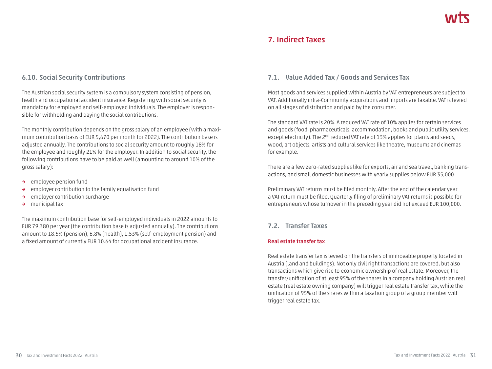# **7. Indirect Taxes**

#### **6.10. Social Security Contributions**

The Austrian social security system is a compulsory system consisting of pension, health and occupational accident insurance. Registering with social security is mandatory for employed and self-employed individuals. The employer is responsible for withholding and paying the social contributions.

The monthly contribution depends on the gross salary of an employee (with a maximum contribution basis of EUR 5,670 per month for 2022). The contribution base is adjusted annually. The contributions to social security amount to roughly 18% for the employee and roughly 21% for the employer. In addition to social security, the following contributions have to be paid as well (amounting to around 10% of the gross salary):

- **→** employee pension fund
- **→** employer contribution to the family equalisation fund
- **→** employer contribution surcharge
- **→** municipal tax

The maximum contribution base for self-employed individuals in 2022 amounts to EUR 79,380 per year (the contribution base is adjusted annually). The contributions amount to 18.5% (pension), 6.8% (health), 1.53% (self-employment pension) and a fixed amount of currently EUR 10.64 for occupational accident insurance.

#### **7.1. Value Added Tax / Goods and Services Tax**

Most goods and services supplied within Austria by VAT entrepreneurs are subject to VAT. Additionally intra-Community acquisitions and imports are taxable. VAT is levied on all stages of distribution and paid by the consumer.

The standard VAT rate is 20%. A reduced VAT rate of 10% applies for certain services and goods (food, pharmaceuticals, accommodation, books and public utility services, except electricity). The 2<sup>nd</sup> reduced VAT rate of 13% applies for plants and seeds, wood, art objects, artists and cultural services like theatre, museums and cinemas for example.

There are a few zero-rated supplies like for exports, air and sea travel, banking transactions, and small domestic businesses with yearly supplies below EUR 35,000.

Preliminary VAT returns must be filed monthly. After the end of the calendar year a VAT return must be filed. Quarterly filing of preliminary VAT returns is possible for entrepreneurs whose turnover in the preceding year did not exceed EUR 100,000.

#### **7.2. Transfer Taxes**

#### **Real estate transfer tax**

Real estate transfer tax is levied on the transfers of immovable property located in Austria (land and buildings). Not only civil right transactions are covered, but also transactions which give rise to economic ownership of real estate. Moreover, the transfer/unification of at least 95% of the shares in a company holding Austrian real estate (real estate owning company) will trigger real estate transfer tax, while the unification of 95% of the shares within a taxation group of a group member will trigger real estate tax.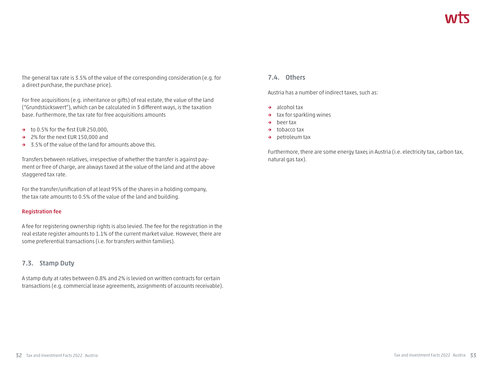The general tax rate is 3.5% of the value of the corresponding consideration (e.g. for a direct purchase, the purchase price).

For free acquisitions (e.g. inheritance or gifts) of real estate, the value of the land ("Grundstückswert"), which can be calculated in 3 different ways, is the taxation base. Furthermore, the tax rate for free acquisitions amounts

- **→** to 0.5% for the first EUR 250,000,
- **→** 2% for the next EUR 150,000 and
- **→** 3.5% of the value of the land for amounts above this.

Transfers between relatives, irrespective of whether the transfer is against payment or free of charge, are always taxed at the value of the land and at the above staggered tax rate.

For the transfer/unification of at least 95% of the shares in a holding company, the tax rate amounts to 0.5% of the value of the land and building.

#### **Registration fee**

A fee for registering ownership rights is also levied. The fee for the registration in the real estate register amounts to 1.1% of the current market value. However, there are some preferential transactions (i.e. for transfers within families).

#### **7.3. Stamp Duty**

A stamp duty at rates between 0.8% and 2% is levied on written contracts for certain transactions (e.g. commercial lease agreements, assignments of accounts receivable).

#### **7.4. Others**

Austria has a number of indirect taxes, such as:

- **→** alcohol tax
- **→** tax for sparkling wines
- **→** beer tax
- **→** tobacco tax
- **→** petroleum tax

Furthermore, there are some energy taxes in Austria (i.e. electricity tax, carbon tax, natural gas tax).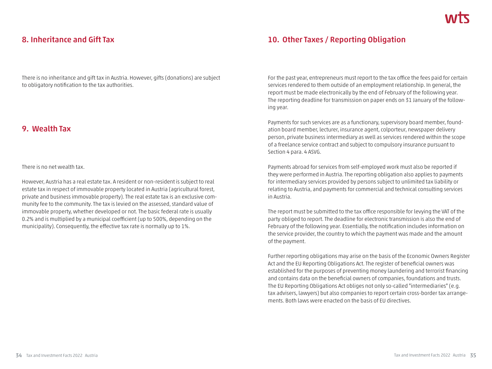# **8. Inheritance and Gift Tax**

There is no inheritance and gift tax in Austria. However, gifts (donations) are subject to obligatory notification to the tax authorities.

# **9. Wealth Tax**

There is no net wealth tax.

However, Austria has a real estate tax. A resident or non-resident is subject to real estate tax in respect of immovable property located in Austria (agricultural forest, private and business immovable property). The real estate tax is an exclusive community fee to the community. The tax is levied on the assessed, standard value of immovable property, whether developed or not. The basic federal rate is usually 0.2% and is multiplied by a municipal coefficient (up to 500%, depending on the municipality). Consequently, the effective tax rate is normally up to 1%.

# **10. Other Taxes / Reporting Obligation**

For the past year, entrepreneurs must report to the tax office the fees paid for certain services rendered to them outside of an employment relationship. In general, the report must be made electronically by the end of February of the following year. The reporting deadline for transmission on paper ends on 31 January of the following year.

Payments for such services are as a functionary, supervisory board member, foundation board member, lecturer, insurance agent, colporteur, newspaper delivery person, private business intermediary as well as services rendered within the scope of a freelance service contract and subject to compulsory insurance pursuant to Section 4 para. 4 ASVG.

Payments abroad for services from self-employed work must also be reported if they were performed in Austria. The reporting obligation also applies to payments for intermediary services provided by persons subject to unlimited tax liability or relating to Austria, and payments for commercial and technical consulting services in Austria.

The report must be submitted to the tax office responsible for levying the VAT of the party obliged to report. The deadline for electronic transmission is also the end of February of the following year. Essentially, the notification includes information on the service provider, the country to which the payment was made and the amount of the payment.

Further reporting obligations may arise on the basis of the Economic Owners Register Act and the EU Reporting Obligations Act. The register of beneficial owners was established for the purposes of preventing money laundering and terrorist financing and contains data on the beneficial owners of companies, foundations and trusts. The EU Reporting Obligations Act obliges not only so-called "intermediaries" (e.g. tax advisers, lawyers) but also companies to report certain cross-border tax arrangements. Both laws were enacted on the basis of EU directives.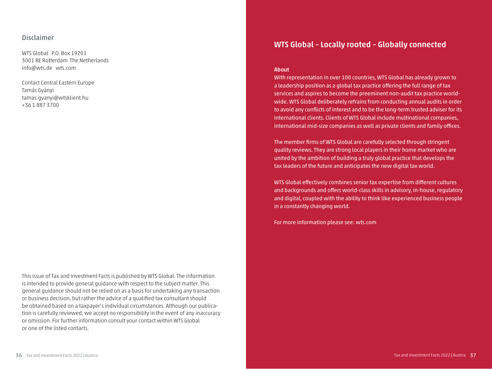#### **Disclaimer**

WTS Global P.O. Box 19201 3001 BE Rotterdam The Netherlands info@wts.de wts.com

Contact Central Eastern Europe Tamás Gyányi tamas.gyanyi@wtsklient.hu +36 1 887 3700

This issue of Tax and Investment Facts is published by WTS Global. The information is intended to provide general guidance with respect to the subject matter. This general guidance should not be relied on as a basis for undertaking any transaction or business decision, but rather the advice of a qualified tax consultant should be obtained based on a taxpayer's individual circumstances. Although our publication is carefully reviewed, we accept no responsibility in the event of any inaccuracy or omission. For further information consult your contact within WTS Global or one of the listed contacts.

# **WTS Global – Locally rooted – Globally connected**

#### **About**

With representation in over 100 countries, WTS Global has already grown to a leadership position as a global tax practice offering the full range of tax services and aspires to become the preeminent non-audit tax practice worldwide. WTS Global deliberately refrains from conducting annual audits in order to avoid any conflicts of interest and to be the long-term trusted adviser for its international clients. Clients of WTS Global include multinational companies, international mid-size companies as well as private clients and family offices.

The member firms of WTS Global are carefully selected through stringent quality reviews. They are strong local players in their home market who are united by the ambition of building a truly global practice that develops the tax leaders of the future and anticipates the new digital tax world.

WTS Global effectively combines senior tax expertise from different cultures and backgrounds and offers world-class skills in advisory, in-house, regulatory and digital, coupled with the ability to think like experienced business people in a constantly changing world.

For more information please see: wts.com